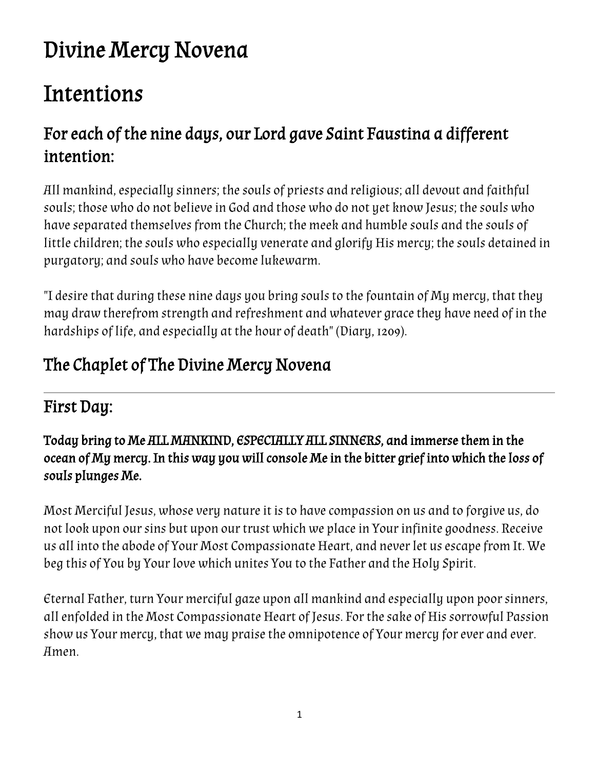# Divine Mercy Novena

# Intentions

## For each of the nine days, our Lord gave Saint Faustina a different intention:

All mankind, especially sinners; the souls of priests and religious; all devout and faithful souls; those who do not believe in God and those who do not yet know Jesus; the souls who have separated themselves from the Church; the meek and humble souls and the souls of little children; the souls who especially venerate and glorify His mercy; the souls detained in purgatory; and souls who have become lukewarm.

"I desire that during these nine days you bring souls to the fountain of My mercy, that they may draw therefrom strength and refreshment and whatever grace they have need of in the hardships of life, and especially at the hour of death" (Diary, 1209).

### The Chaplet of The Divine Mercy Novena

#### First Day:

#### Today bring to Me ALL MANKIND, ESPECIALLY ALL SINNERS, and immerse them in the ocean of My mercy. In this way you will console Me in the bitter grief into which the loss of souls plunges Me.

Most Merciful Jesus, whose very nature it is to have compassion on us and to forgive us, do not look upon our sins but upon our trust which we place in Your infinite goodness. Receive us all into the abode of Your Most Compassionate Heart, and never let us escape from It. We beg this of You by Your love which unites You to the Father and the Holy Spirit.

Eternal Father, turn Your merciful gaze upon all mankind and especially upon poor sinners, all enfolded in the Most Compassionate Heart of Jesus. For the sake of His sorrowful Passion show us Your mercy, that we may praise the omnipotence of Your mercy for ever and ever. Amen.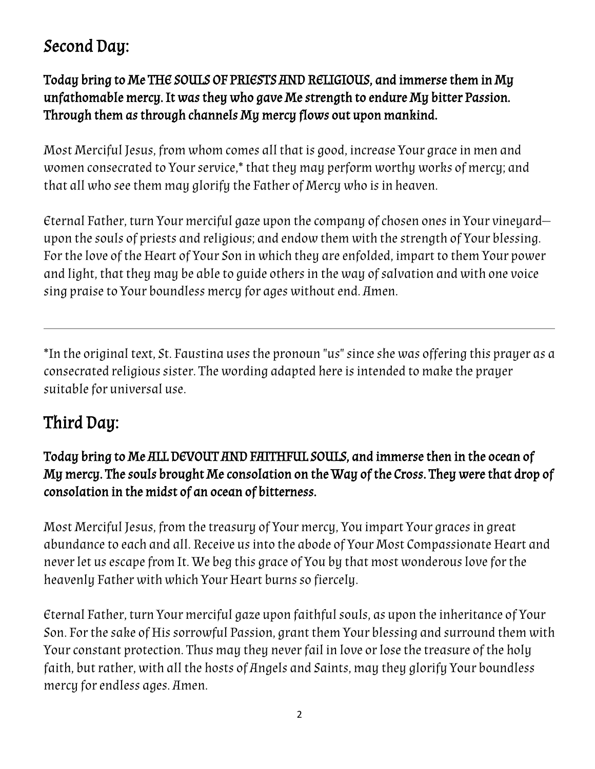### Second Day:

Today bring to Me THE SOULS OF PRIESTS AND RELIGIOUS, and immerse them in My unfathomable mercy. It was they who gave Me strength to endure My bitter Passion. Through them as through channels My mercy flows out upon mankind.

Most Merciful Jesus, from whom comes all that is good, increase Your grace in men and women consecrated to Your service,\* that they may perform worthy works of mercy; and that all who see them may glorify the Father of Mercy who is in heaven.

Eternal Father, turn Your merciful gaze upon the company of chosen ones in Your vineyard upon the souls of priests and religious; and endow them with the strength of Your blessing. For the love of the Heart of Your Son in which they are enfolded, impart to them Your power and light, that they may be able to guide others in the way of salvation and with one voice sing praise to Your boundless mercy for ages without end. Amen.

\*In the original text, St. Faustina uses the pronoun "us" since she was offering this prayer as a consecrated religious sister. The wording adapted here is intended to make the prayer suitable for universal use.

# Third Day:

#### Today bring to Me ALL DEVOUT AND FAITHFUL SOULS, and immerse then in the ocean of My mercy. The souls brought Me consolation on the Way of the Cross. They were that drop of consolation in the midst of an ocean of bitterness.

Most Merciful Jesus, from the treasury of Your mercy, You impart Your graces in great abundance to each and all. Receive us into the abode of Your Most Compassionate Heart and never let us escape from It. We beg this grace of You by that most wonderous love for the heavenly Father with which Your Heart burns so fiercely.

Eternal Father, turn Your merciful gaze upon faithful souls, as upon the inheritance of Your Son. For the sake of His sorrowful Passion, grant them Your blessing and surround them with Your constant protection. Thus may they never fail in love or lose the treasure of the holy faith, but rather, with all the hosts of Angels and Saints, may they glorify Your boundless mercy for endless ages. Amen.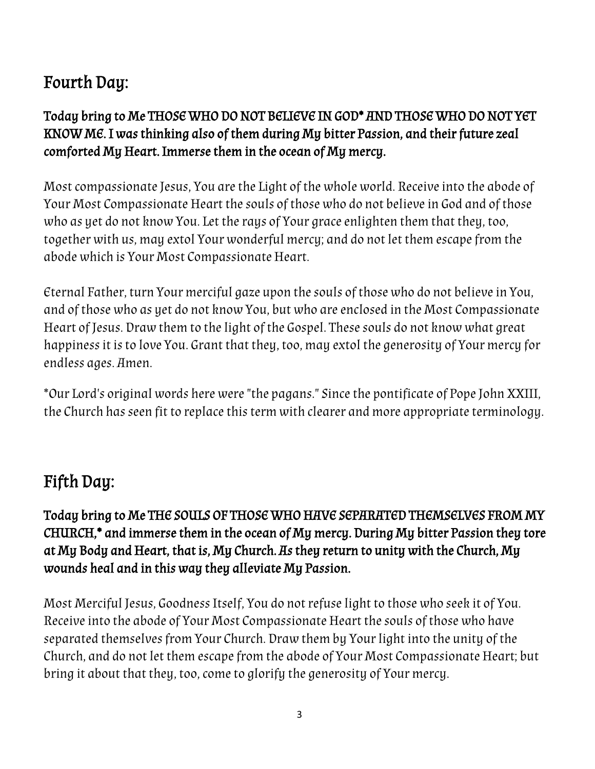### Fourth Day:

#### Today bring to Me THOSE WHO DO NOT BELIEVE IN GOD\* AND THOSE WHO DO NOT YET KNOW ME. I was thinking also of them during My bitter Passion, and their future zeal comforted My Heart. Immerse them in the ocean of My mercy.

Most compassionate Jesus, You are the Light of the whole world. Receive into the abode of Your Most Compassionate Heart the souls of those who do not believe in God and of those who as yet do not know You. Let the rays of Your grace enlighten them that they, too, together with us, may extol Your wonderful mercy; and do not let them escape from the abode which is Your Most Compassionate Heart.

Eternal Father, turn Your merciful gaze upon the souls of those who do not believe in You, and of those who as yet do not know You, but who are enclosed in the Most Compassionate Heart of Jesus. Draw them to the light of the Gospel. These souls do not know what great happiness it is to love You. Grant that they, too, may extol the generosity of Your mercy for endless ages. Amen.

\*Our Lord's original words here were "the pagans." Since the pontificate of Pope John XXIII, the Church has seen fit to replace this term with clearer and more appropriate terminology.

#### Fifth Day:

#### Today bring to Me THE SOULS OF THOSE WHO HAVE SEPARATED THEMSELVES FROM MY CHURCH,\* and immerse them in the ocean of My mercy. During My bitter Passion they tore at My Body and Heart, that is, My Church. As they return to unity with the Church, My wounds heal and in this way they alleviate My Passion.

Most Merciful Jesus, Goodness Itself, You do not refuse light to those who seek it of You. Receive into the abode of Your Most Compassionate Heart the souls of those who have separated themselves from Your Church. Draw them by Your light into the unity of the Church, and do not let them escape from the abode of Your Most Compassionate Heart; but bring it about that they, too, come to glorify the generosity of Your mercy.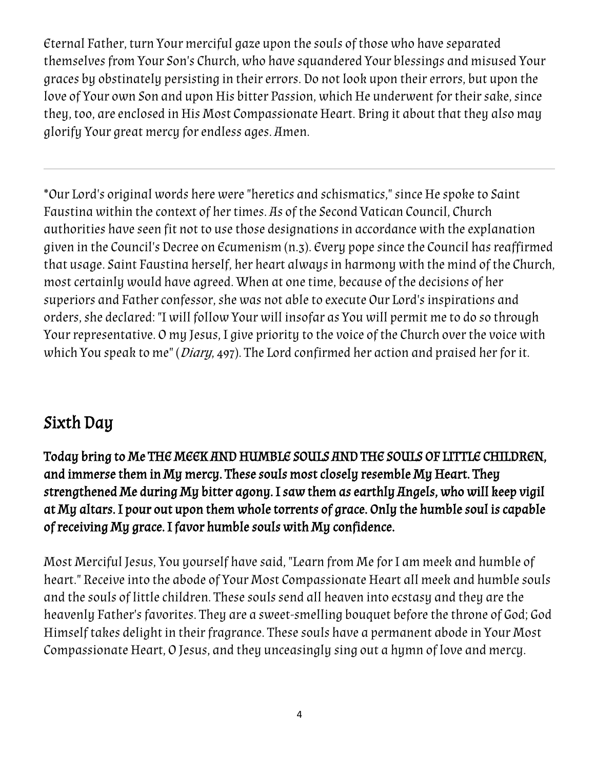Eternal Father, turn Your merciful gaze upon the souls of those who have separated themselves from Your Son's Church, who have squandered Your blessings and misused Your graces by obstinately persisting in their errors. Do not look upon their errors, but upon the love of Your own Son and upon His bitter Passion, which He underwent for their sake, since they, too, are enclosed in His Most Compassionate Heart. Bring it about that they also may glorify Your great mercy for endless ages. Amen.

\*Our Lord's original words here were "heretics and schismatics," since He spoke to Saint Faustina within the context of her times. As of the Second Vatican Council, Church authorities have seen fit not to use those designations in accordance with the explanation given in the Council's Decree on Ecumenism (n.3). Every pope since the Council has reaffirmed that usage. Saint Faustina herself, her heart always in harmony with the mind of the Church, most certainly would have agreed. When at one time, because of the decisions of her superiors and Father confessor, she was not able to execute Our Lord's inspirations and orders, she declared: "I will follow Your will insofar as You will permit me to do so through Your representative. O my Jesus, I give priority to the voice of the Church over the voice with which You speak to me" (*Diary*, 497). The Lord confirmed her action and praised her for it.

### Sixth Day

Today bring to Me THE MEEK AND HUMBLE SOULS AND THE SOULS OF LITTLE CHILDREN, and immerse them in My mercy. These souls most closely resemble My Heart. They strengthened Me during My bitter agony. I saw them as earthly Angels, who will keep vigil at My altars. I pour out upon them whole torrents of grace. Only the humble soul is capable of receiving My grace. I favor humble souls with My confidence.

Most Merciful Jesus, You yourself have said, "Learn from Me for I am meek and humble of heart." Receive into the abode of Your Most Compassionate Heart all meek and humble souls and the souls of little children. These souls send all heaven into ecstasy and they are the heavenly Father's favorites. They are a sweet-smelling bouquet before the throne of God; God Himself takes delight in their fragrance. These souls have a permanent abode in Your Most Compassionate Heart, O Jesus, and they unceasingly sing out a hymn of love and mercy.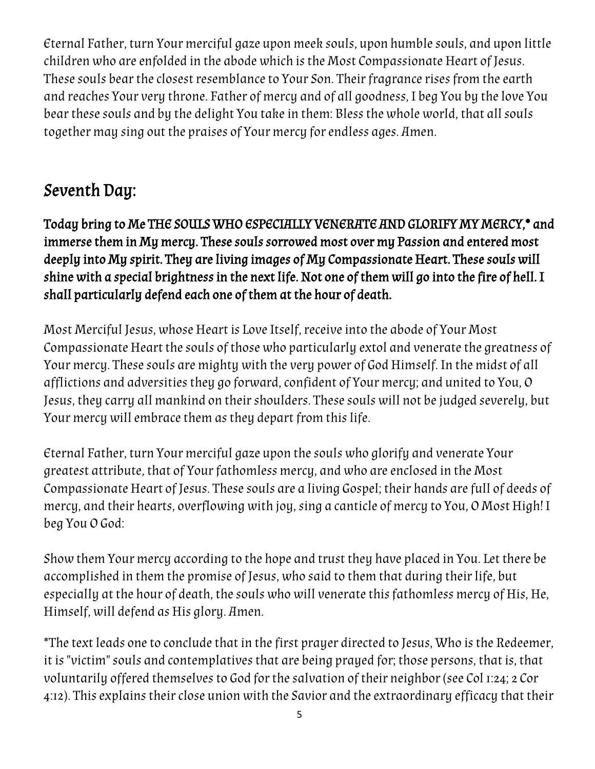Eternal Father, turn Your merciful gaze upon meek souls, upon humble souls, and upon little children who are enfolded in the abode which is the Most Compassionate Heart of Jesus. These souls bear the closest resemblance to Your Son. Their fragrance rises from the earth and reaches Your very throne. Father of mercy and of all goodness, I beg You by the love You bear these souls and by the delight You take in them: Bless the whole world, that all souls together may sing out the praises of Your mercy for endless ages. Amen.

#### Seventh Day:

Today bring to Me THE SOULS WHO ESPECIALLY VENERATE AND GLORIFY MY MERCY,\* and immerse them in My mercy. These souls sorrowed most over my Passion and entered most deeply into My spirit. They are living images of My Compassionate Heart. These souls will shine with a special brightness in the next life. Not one of them will go into the fire of hell. I shall particularly defend each one of them at the hour of death.

Most Merciful Jesus, whose Heart is Love Itself, receive into the abode of Your Most Compassionate Heart the souls of those who particularly extol and venerate the greatness of Your mercy. These souls are mighty with the very power of God Himself. In the midst of all afflictions and adversities they go forward, confident of Your mercy; and united to You, O Jesus, they carry all mankind on their shoulders. These souls will not be judged severely, but Your mercy will embrace them as they depart from this life.

Eternal Father, turn Your merciful gaze upon the souls who glorify and venerate Your greatest attribute, that of Your fathomless mercy, and who are enclosed in the Most Compassionate Heart of Jesus. These souls are a living Gospel; their hands are full of deeds of mercy, and their hearts, overflowing with joy, sing a canticle of mercy to You, O Most High! I beg You O God:

Show them Your mercy according to the hope and trust they have placed in You. Let there be accomplished in them the promise of Jesus, who said to them that during their life, but especially at the hour of death, the souls who will venerate this fathomless mercy of His, He, Himself, will defend as His glory. Amen.

\*The text leads one to conclude that in the first prayer directed to Jesus, Who is the Redeemer, it is "victim" souls and contemplatives that are being prayed for; those persons, that is, that voluntarily offered themselves to God for the salvation of their neighbor (see Col 1:24; 2 Cor 4:12). This explains their close union with the Savior and the extraordinary efficacy that their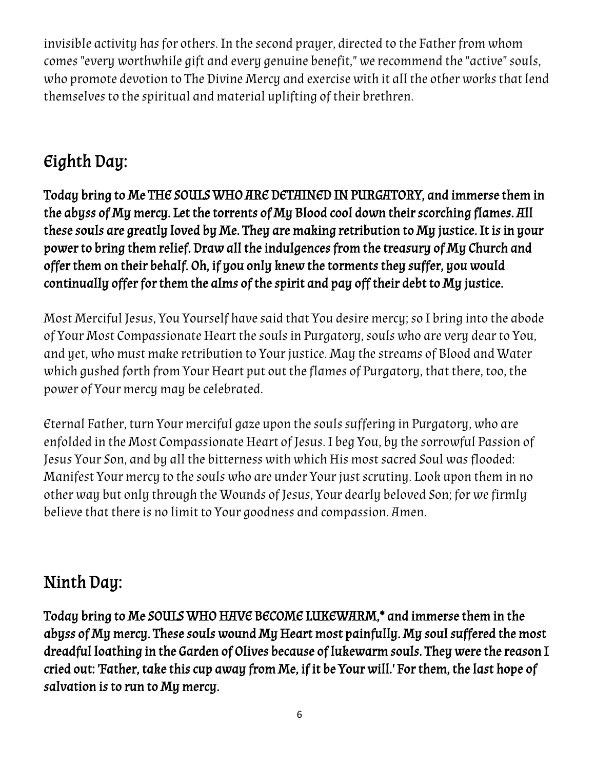invisible activity has for others. In the second prayer, directed to the Father from whom comes "every worthwhile gift and every genuine benefit," we recommend the "active" souls, who promote devotion to The Divine Mercy and exercise with it all the other works that lend themselves to the spiritual and material uplifting of their brethren.

# Eighth Day:

Today bring to Me THE SOULS WHO ARE DETAINED IN PURGATORY, and immerse them in the abyss of My mercy. Let the torrents of My Blood cool down their scorching flames. All these souls are greatly loved by Me. They are making retribution to My justice. It is in your power to bring them relief. Draw all the indulgences from the treasury of My Church and offer them on their behalf. Oh, if you only knew the torments they suffer, you would continually offer for them the alms of the spirit and pay off their debt to My justice.

Most Merciful Jesus, You Yourself have said that You desire mercy; so I bring into the abode of Your Most Compassionate Heart the souls in Purgatory, souls who are very dear to You, and yet, who must make retribution to Your justice. May the streams of Blood and Water which gushed forth from Your Heart put out the flames of Purgatory, that there, too, the power of Your mercy may be celebrated.

Eternal Father, turn Your merciful gaze upon the souls suffering in Purgatory, who are enfolded in the Most Compassionate Heart of Jesus. I beg You, by the sorrowful Passion of Jesus Your Son, and by all the bitterness with which His most sacred Soul was flooded: Manifest Your mercy to the souls who are under Your just scrutiny. Look upon them in no other way but only through the Wounds of Jesus, Your dearly beloved Son; for we firmly believe that there is no limit to Your goodness and compassion. Amen.

#### Ninth Day:

Today bring to Me SOULS WHO HAVE BECOME LUKEWARM,\* and immerse them in the abyss of My mercy. These souls wound My Heart most painfully. My soul suffered the most dreadful loathing in the Garden of Olives because of lukewarm souls. They were the reason I cried out: 'Father, take this cup away from Me, if it be Your will.' For them, the last hope of salvation is to run to My mercy.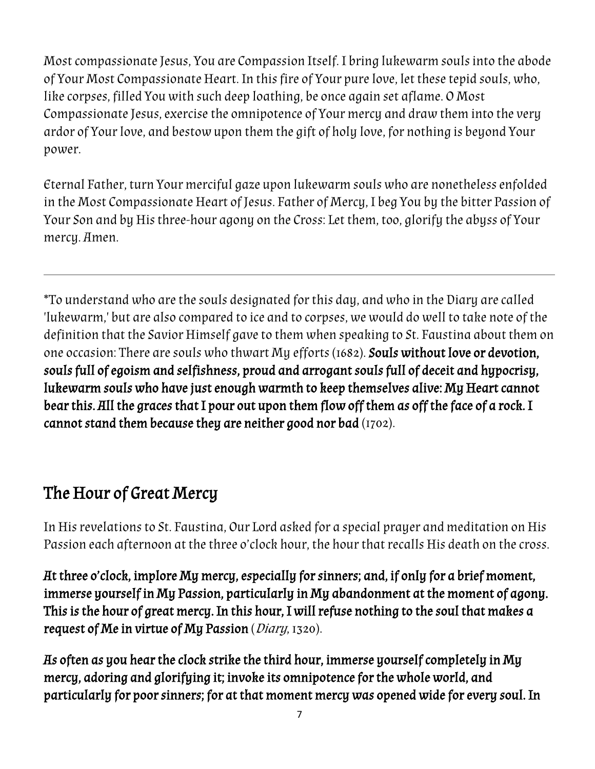Most compassionate Jesus, You are Compassion Itself. I bring lukewarm souls into the abode of Your Most Compassionate Heart. In this fire of Your pure love, let these tepid souls, who, like corpses, filled You with such deep loathing, be once again set aflame. O Most Compassionate Jesus, exercise the omnipotence of Your mercy and draw them into the very ardor of Your love, and bestow upon them the gift of holy love, for nothing is beyond Your power.

Eternal Father, turn Your merciful gaze upon lukewarm souls who are nonetheless enfolded in the Most Compassionate Heart of Jesus. Father of Mercy, I beg You by the bitter Passion of Your Son and by His three-hour agony on the Cross: Let them, too, glorify the abyss of Your mercy. Amen.

\*To understand who are the souls designated for this day, and who in the Diary are called 'lukewarm,' but are also compared to ice and to corpses, we would do well to take note of the definition that the Savior Himself gave to them when speaking to St. Faustina about them on one occasion: There are souls who thwart My efforts (1682). Souls without love or devotion, souls full of egoism and selfishness, proud and arrogant souls full of deceit and hypocrisy, lukewarm souls who have just enough warmth to keep themselves alive: My Heart cannot bear this. All the graces that I pour out upon them flow off them as off the face of a rock. I cannot stand them because they are neither good nor bad (1702).

# The Hour of Great Mercy

In His revelations to St. Faustina, Our Lord asked for a special prayer and meditation on His Passion each afternoon at the three o'clock hour, the hour that recalls His death on the cross.

At three o'clock, implore My mercy, especially for sinners; and, if only for a brief moment, immerse yourself in My Passion, particularly in My abandonment at the moment of agony. This is the hour of great mercy. In this hour, I will refuse nothing to the soul that makes a request of Me in virtue of My Passion (Diary, 1320).

As often as you hear the clock strike the third hour, immerse yourself completely in My mercy, adoring and glorifying it; invoke its omnipotence for the whole world, and particularly for poor sinners; for at that moment mercy was opened wide for every soul. In